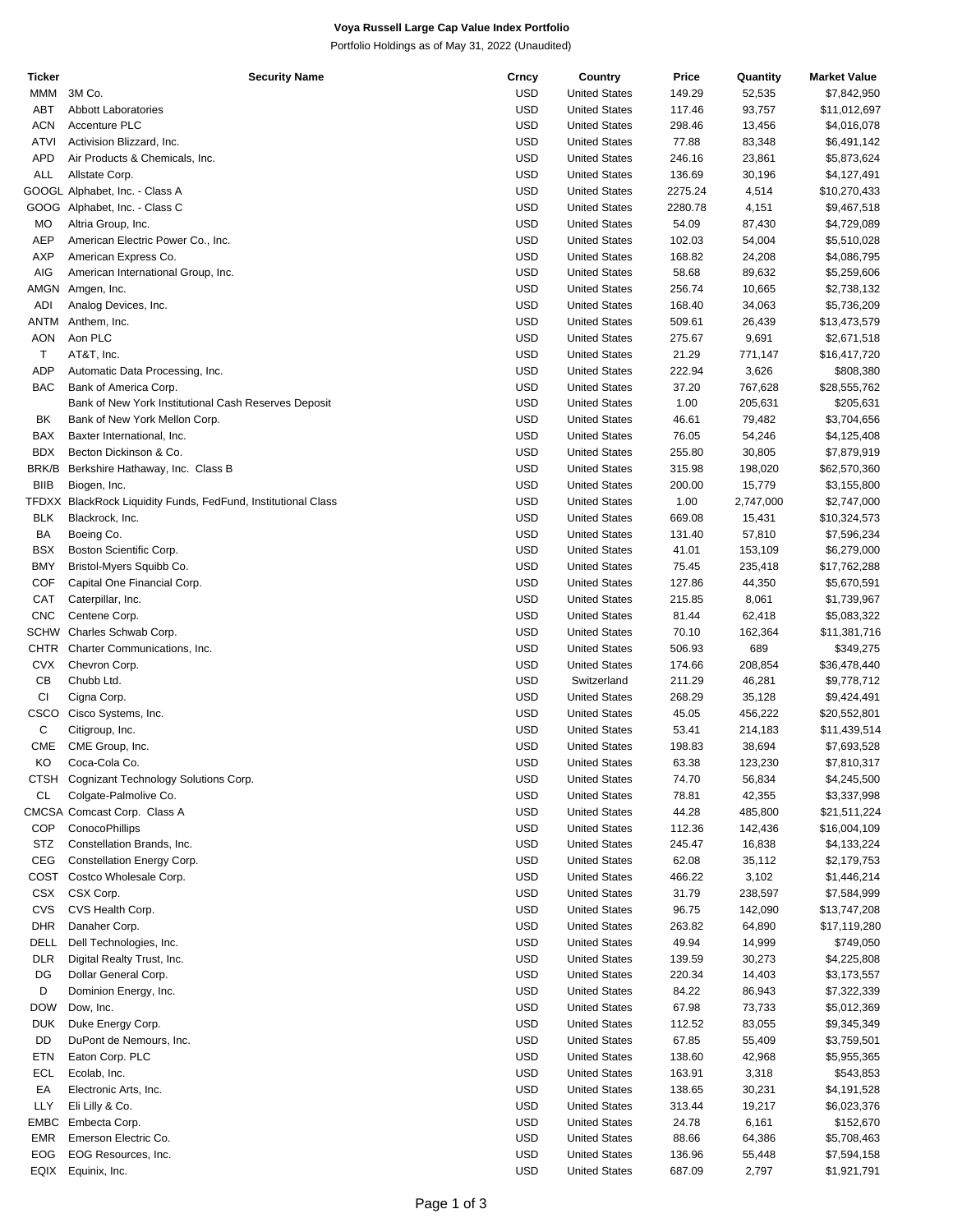# **Voya Russell Large Cap Value Index Portfolio**

Portfolio Holdings as of May 31, 2022 (Unaudited)

| Ticker      | <b>Security Name</b>                                          | Crncy      | Country              | Price   | Quantity  | <b>Market Value</b> |
|-------------|---------------------------------------------------------------|------------|----------------------|---------|-----------|---------------------|
| <b>MMM</b>  | 3M Co.                                                        | <b>USD</b> | <b>United States</b> | 149.29  | 52,535    | \$7,842,950         |
| ABT         | <b>Abbott Laboratories</b>                                    | <b>USD</b> | <b>United States</b> | 117.46  | 93,757    | \$11,012,697        |
| <b>ACN</b>  | Accenture PLC                                                 | <b>USD</b> | <b>United States</b> | 298.46  | 13,456    | \$4,016,078         |
|             |                                                               |            |                      |         |           |                     |
| ATVI        | Activision Blizzard, Inc.                                     | <b>USD</b> | <b>United States</b> | 77.88   | 83,348    | \$6,491,142         |
| APD         | Air Products & Chemicals, Inc.                                | <b>USD</b> | <b>United States</b> | 246.16  | 23,861    | \$5,873,624         |
| <b>ALL</b>  | Allstate Corp.                                                | <b>USD</b> | <b>United States</b> | 136.69  | 30,196    | \$4,127,491         |
|             | GOOGL Alphabet, Inc. - Class A                                | <b>USD</b> | <b>United States</b> | 2275.24 | 4,514     | \$10,270,433        |
|             | GOOG Alphabet, Inc. - Class C                                 | <b>USD</b> | <b>United States</b> | 2280.78 | 4,151     | \$9,467,518         |
| МO          | Altria Group, Inc.                                            | <b>USD</b> | <b>United States</b> | 54.09   | 87,430    | \$4,729,089         |
| <b>AEP</b>  |                                                               | <b>USD</b> |                      | 102.03  |           |                     |
|             | American Electric Power Co., Inc.                             |            | <b>United States</b> |         | 54,004    | \$5,510,028         |
| AXP         | American Express Co.                                          | <b>USD</b> | <b>United States</b> | 168.82  | 24,208    | \$4,086,795         |
| AIG         | American International Group, Inc.                            | <b>USD</b> | <b>United States</b> | 58.68   | 89,632    | \$5,259,606         |
| AMGN        | Amgen, Inc.                                                   | <b>USD</b> | <b>United States</b> | 256.74  | 10,665    | \$2,738,132         |
| ADI         | Analog Devices, Inc.                                          | <b>USD</b> | <b>United States</b> | 168.40  | 34,063    | \$5,736,209         |
| ANTM        | Anthem, Inc.                                                  | <b>USD</b> | <b>United States</b> | 509.61  | 26,439    | \$13,473,579        |
|             | Aon PLC                                                       | <b>USD</b> |                      |         |           |                     |
| <b>AON</b>  |                                                               |            | <b>United States</b> | 275.67  | 9,691     | \$2,671,518         |
| T           | AT&T, Inc.                                                    | <b>USD</b> | <b>United States</b> | 21.29   | 771,147   | \$16,417,720        |
| ADP         | Automatic Data Processing, Inc.                               | <b>USD</b> | <b>United States</b> | 222.94  | 3,626     | \$808,380           |
| <b>BAC</b>  | Bank of America Corp.                                         | <b>USD</b> | <b>United States</b> | 37.20   | 767,628   | \$28,555,762        |
|             | Bank of New York Institutional Cash Reserves Deposit          | <b>USD</b> | <b>United States</b> | 1.00    | 205,631   | \$205,631           |
| BK          | Bank of New York Mellon Corp.                                 | <b>USD</b> | <b>United States</b> | 46.61   | 79,482    | \$3,704,656         |
|             | Baxter International, Inc.                                    | <b>USD</b> |                      | 76.05   |           |                     |
| BAX         |                                                               |            | <b>United States</b> |         | 54,246    | \$4,125,408         |
| <b>BDX</b>  | Becton Dickinson & Co.                                        | <b>USD</b> | <b>United States</b> | 255.80  | 30,805    | \$7,879,919         |
| BRK/B       | Berkshire Hathaway, Inc. Class B                              | <b>USD</b> | <b>United States</b> | 315.98  | 198,020   | \$62,570,360        |
| <b>BIIB</b> | Biogen, Inc.                                                  | <b>USD</b> | <b>United States</b> | 200.00  | 15,779    | \$3,155,800         |
|             | TFDXX BlackRock Liquidity Funds, FedFund, Institutional Class | <b>USD</b> | <b>United States</b> | 1.00    | 2,747,000 | \$2,747,000         |
| <b>BLK</b>  | Blackrock, Inc.                                               | <b>USD</b> | <b>United States</b> | 669.08  | 15,431    | \$10,324,573        |
| BA          |                                                               | <b>USD</b> | <b>United States</b> | 131.40  |           |                     |
|             | Boeing Co.                                                    |            |                      |         | 57,810    | \$7,596,234         |
| <b>BSX</b>  | Boston Scientific Corp.                                       | <b>USD</b> | <b>United States</b> | 41.01   | 153,109   | \$6,279,000         |
| <b>BMY</b>  | Bristol-Myers Squibb Co.                                      | <b>USD</b> | <b>United States</b> | 75.45   | 235,418   | \$17,762,288        |
| <b>COF</b>  | Capital One Financial Corp.                                   | <b>USD</b> | <b>United States</b> | 127.86  | 44,350    | \$5,670,591         |
| CAT         | Caterpillar, Inc.                                             | <b>USD</b> | <b>United States</b> | 215.85  | 8,061     | \$1,739,967         |
| <b>CNC</b>  | Centene Corp.                                                 | <b>USD</b> | <b>United States</b> | 81.44   | 62,418    | \$5,083,322         |
| <b>SCHW</b> | Charles Schwab Corp.                                          | <b>USD</b> | <b>United States</b> | 70.10   |           |                     |
|             |                                                               |            |                      |         | 162,364   | \$11,381,716        |
| CHTR        | Charter Communications, Inc.                                  | <b>USD</b> | <b>United States</b> | 506.93  | 689       | \$349,275           |
| <b>CVX</b>  | Chevron Corp.                                                 | <b>USD</b> | <b>United States</b> | 174.66  | 208,854   | \$36,478,440        |
| СB          | Chubb Ltd.                                                    | <b>USD</b> | Switzerland          | 211.29  | 46,281    | \$9,778,712         |
| CI          | Cigna Corp.                                                   | <b>USD</b> | <b>United States</b> | 268.29  | 35,128    | \$9,424,491         |
| CSCO        | Cisco Systems, Inc.                                           | <b>USD</b> | <b>United States</b> | 45.05   | 456,222   | \$20,552,801        |
| С           |                                                               | <b>USD</b> | <b>United States</b> | 53.41   | 214,183   | \$11,439,514        |
|             | Citigroup, Inc.                                               |            |                      |         |           |                     |
| CME         | CME Group, Inc.                                               | USD        | <b>United States</b> | 198.83  | 38,694    | \$7,693,528         |
| KO          | Coca-Cola Co.                                                 | <b>USD</b> | <b>United States</b> | 63.38   | 123,230   | \$7,810,317         |
|             | CTSH Cognizant Technology Solutions Corp.                     | <b>USD</b> | <b>United States</b> | 74.70   | 56,834    | \$4,245,500         |
| CL          | Colgate-Palmolive Co.                                         | <b>USD</b> | <b>United States</b> | 78.81   | 42,355    | \$3,337,998         |
|             | CMCSA Comcast Corp. Class A                                   | <b>USD</b> | <b>United States</b> | 44.28   | 485,800   | \$21,511,224        |
| <b>COP</b>  | ConocoPhillips                                                | <b>USD</b> | <b>United States</b> | 112.36  | 142,436   | \$16,004,109        |
|             |                                                               |            |                      |         |           |                     |
| <b>STZ</b>  | Constellation Brands, Inc.                                    | <b>USD</b> | <b>United States</b> | 245.47  | 16,838    | \$4,133,224         |
| CEG         | Constellation Energy Corp.                                    | <b>USD</b> | <b>United States</b> | 62.08   | 35,112    | \$2,179,753         |
| COST        | Costco Wholesale Corp.                                        | <b>USD</b> | <b>United States</b> | 466.22  | 3,102     | \$1,446,214         |
| <b>CSX</b>  | CSX Corp.                                                     | <b>USD</b> | <b>United States</b> | 31.79   | 238,597   | \$7,584,999         |
| CVS         | CVS Health Corp.                                              | <b>USD</b> | <b>United States</b> | 96.75   | 142,090   | \$13,747,208        |
| <b>DHR</b>  | Danaher Corp.                                                 | <b>USD</b> | <b>United States</b> | 263.82  | 64,890    |                     |
|             |                                                               |            |                      |         |           | \$17,119,280        |
| DELL        | Dell Technologies, Inc.                                       | <b>USD</b> | <b>United States</b> | 49.94   | 14,999    | \$749,050           |
| <b>DLR</b>  | Digital Realty Trust, Inc.                                    | <b>USD</b> | <b>United States</b> | 139.59  | 30,273    | \$4,225,808         |
| DG          | Dollar General Corp.                                          | <b>USD</b> | <b>United States</b> | 220.34  | 14,403    | \$3,173,557         |
| D           | Dominion Energy, Inc.                                         | <b>USD</b> | <b>United States</b> | 84.22   | 86,943    | \$7,322,339         |
| <b>DOW</b>  | Dow, Inc.                                                     | <b>USD</b> | <b>United States</b> | 67.98   | 73,733    | \$5,012,369         |
| <b>DUK</b>  | Duke Energy Corp.                                             | <b>USD</b> | <b>United States</b> | 112.52  | 83,055    | \$9,345,349         |
|             |                                                               |            |                      |         |           |                     |
| DD          | DuPont de Nemours, Inc.                                       | <b>USD</b> | <b>United States</b> | 67.85   | 55,409    | \$3,759,501         |
| ETN         | Eaton Corp. PLC                                               | <b>USD</b> | <b>United States</b> | 138.60  | 42,968    | \$5,955,365         |
| ECL         | Ecolab, Inc.                                                  | <b>USD</b> | <b>United States</b> | 163.91  | 3,318     | \$543,853           |
| EA          | Electronic Arts, Inc.                                         | <b>USD</b> | <b>United States</b> | 138.65  | 30,231    | \$4,191,528         |
| LLY         | Eli Lilly & Co.                                               | <b>USD</b> | <b>United States</b> | 313.44  | 19,217    | \$6,023,376         |
| EMBC        | Embecta Corp.                                                 | <b>USD</b> | <b>United States</b> | 24.78   | 6,161     | \$152,670           |
|             |                                                               |            |                      |         |           |                     |
| EMR         | Emerson Electric Co.                                          | <b>USD</b> | <b>United States</b> | 88.66   | 64,386    | \$5,708,463         |
| EOG         | EOG Resources, Inc.                                           | <b>USD</b> | <b>United States</b> | 136.96  | 55,448    | \$7,594,158         |
| EQIX        | Equinix, Inc.                                                 | <b>USD</b> | <b>United States</b> | 687.09  | 2,797     | \$1,921,791         |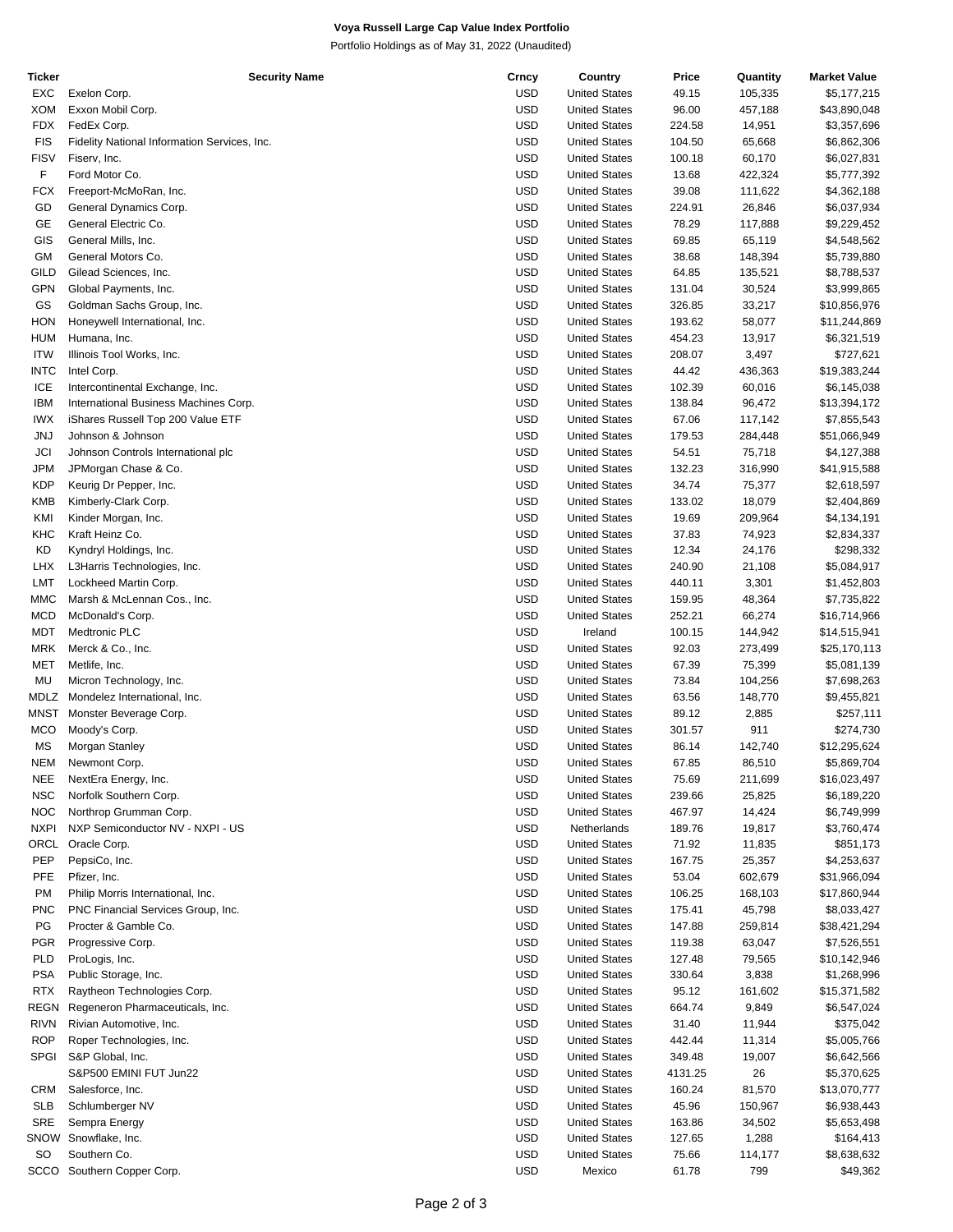# **Voya Russell Large Cap Value Index Portfolio**

Portfolio Holdings as of May 31, 2022 (Unaudited)

| <b>Ticker</b> | <b>Security Name</b>                         | Crncy      | Country              | Price   | Quantity | <b>Market Value</b> |
|---------------|----------------------------------------------|------------|----------------------|---------|----------|---------------------|
| EXC           | Exelon Corp.                                 | <b>USD</b> | <b>United States</b> | 49.15   | 105,335  | \$5,177,215         |
| XOM           | Exxon Mobil Corp.                            | <b>USD</b> | <b>United States</b> | 96.00   | 457,188  | \$43,890,048        |
| FDX           | FedEx Corp.                                  | <b>USD</b> | <b>United States</b> | 224.58  | 14,951   | \$3,357,696         |
| <b>FIS</b>    | Fidelity National Information Services, Inc. | <b>USD</b> | <b>United States</b> | 104.50  | 65,668   | \$6,862,306         |
|               |                                              |            |                      |         |          |                     |
| <b>FISV</b>   | Fiserv, Inc.                                 | <b>USD</b> | <b>United States</b> | 100.18  | 60,170   | \$6,027,831         |
| F             | Ford Motor Co.                               | <b>USD</b> | <b>United States</b> | 13.68   | 422,324  | \$5,777,392         |
| FCX           | Freeport-McMoRan, Inc.                       | <b>USD</b> | <b>United States</b> | 39.08   | 111,622  | \$4,362,188         |
| GD            | General Dynamics Corp.                       | <b>USD</b> | <b>United States</b> | 224.91  | 26,846   | \$6,037,934         |
| GE            | General Electric Co.                         | <b>USD</b> | <b>United States</b> | 78.29   | 117,888  | \$9,229,452         |
| GIS           | General Mills, Inc.                          | <b>USD</b> | <b>United States</b> | 69.85   | 65,119   | \$4,548,562         |
| GМ            | General Motors Co.                           | <b>USD</b> | <b>United States</b> | 38.68   | 148,394  | \$5,739,880         |
| <b>GILD</b>   | Gilead Sciences, Inc.                        | <b>USD</b> |                      |         |          |                     |
|               |                                              |            | <b>United States</b> | 64.85   | 135,521  | \$8,788,537         |
| GPN           | Global Payments, Inc.                        | <b>USD</b> | <b>United States</b> | 131.04  | 30,524   | \$3,999,865         |
| GS            | Goldman Sachs Group, Inc.                    | <b>USD</b> | <b>United States</b> | 326.85  | 33,217   | \$10,856,976        |
| HON           | Honeywell International, Inc.                | <b>USD</b> | <b>United States</b> | 193.62  | 58,077   | \$11,244,869        |
| <b>HUM</b>    | Humana, Inc.                                 | <b>USD</b> | <b>United States</b> | 454.23  | 13,917   | \$6,321,519         |
| <b>ITW</b>    | Illinois Tool Works, Inc.                    | <b>USD</b> | <b>United States</b> | 208.07  | 3,497    | \$727,621           |
| <b>INTC</b>   | Intel Corp.                                  | <b>USD</b> | <b>United States</b> | 44.42   | 436,363  | \$19,383,244        |
| ICE           | Intercontinental Exchange, Inc.              | <b>USD</b> | <b>United States</b> | 102.39  | 60,016   | \$6,145,038         |
|               |                                              |            |                      |         |          |                     |
| <b>IBM</b>    | International Business Machines Corp.        | <b>USD</b> | <b>United States</b> | 138.84  | 96,472   | \$13,394,172        |
| <b>IWX</b>    | iShares Russell Top 200 Value ETF            | <b>USD</b> | <b>United States</b> | 67.06   | 117,142  | \$7,855,543         |
| JNJ           | Johnson & Johnson                            | <b>USD</b> | <b>United States</b> | 179.53  | 284,448  | \$51,066,949        |
| JCI           | Johnson Controls International plc           | <b>USD</b> | <b>United States</b> | 54.51   | 75,718   | \$4,127,388         |
| JPM           | JPMorgan Chase & Co.                         | <b>USD</b> | <b>United States</b> | 132.23  | 316,990  | \$41,915,588        |
| KDP           | Keurig Dr Pepper, Inc.                       | <b>USD</b> | <b>United States</b> | 34.74   | 75,377   | \$2,618,597         |
| KMB           | Kimberly-Clark Corp.                         | <b>USD</b> | <b>United States</b> | 133.02  | 18,079   | \$2,404,869         |
|               |                                              |            |                      |         |          |                     |
| KMI           | Kinder Morgan, Inc.                          | <b>USD</b> | <b>United States</b> | 19.69   | 209,964  | \$4,134,191         |
| KHC           | Kraft Heinz Co.                              | <b>USD</b> | <b>United States</b> | 37.83   | 74,923   | \$2,834,337         |
| KD            | Kyndryl Holdings, Inc.                       | <b>USD</b> | <b>United States</b> | 12.34   | 24,176   | \$298,332           |
| LHX           | L3Harris Technologies, Inc.                  | <b>USD</b> | <b>United States</b> | 240.90  | 21,108   | \$5,084,917         |
| LMT           | Lockheed Martin Corp.                        | <b>USD</b> | <b>United States</b> | 440.11  | 3,301    | \$1,452,803         |
| <b>MMC</b>    | Marsh & McLennan Cos., Inc.                  | <b>USD</b> | <b>United States</b> | 159.95  | 48,364   | \$7,735,822         |
| <b>MCD</b>    | McDonald's Corp.                             | <b>USD</b> | <b>United States</b> | 252.21  | 66,274   | \$16,714,966        |
|               |                                              |            |                      |         |          |                     |
| MDT           | Medtronic PLC                                | <b>USD</b> | Ireland              | 100.15  | 144,942  | \$14,515,941        |
| MRK           | Merck & Co., Inc.                            | <b>USD</b> | <b>United States</b> | 92.03   | 273,499  | \$25,170,113        |
| MET           | Metlife, Inc.                                | <b>USD</b> | <b>United States</b> | 67.39   | 75,399   | \$5,081,139         |
| MU            | Micron Technology, Inc.                      | <b>USD</b> | <b>United States</b> | 73.84   | 104,256  | \$7,698,263         |
| MDLZ          | Mondelez International, Inc.                 | <b>USD</b> | <b>United States</b> | 63.56   | 148,770  | \$9,455,821         |
| MNST          | Monster Beverage Corp.                       | <b>USD</b> | <b>United States</b> | 89.12   | 2,885    | \$257,111           |
| <b>MCO</b>    | Moody's Corp.                                | <b>USD</b> | <b>United States</b> | 301.57  | 911      | \$274,730           |
| МS            | Morgan Stanley                               | <b>USD</b> | <b>United States</b> | 86.14   | 142,740  | \$12,295,624        |
|               |                                              |            |                      |         |          |                     |
| <b>NEM</b>    | Newmont Corp.                                | <b>USD</b> | <b>United States</b> | 67.85   | 86,510   | \$5,869,704         |
| NEE           | NextEra Energy, Inc.                         | USD        | <b>United States</b> | 75.69   | 211,699  | \$16,023,497        |
| NSC           | Norfolk Southern Corp.                       | <b>USD</b> | <b>United States</b> | 239.66  | 25,825   | \$6,189,220         |
| <b>NOC</b>    | Northrop Grumman Corp.                       | <b>USD</b> | <b>United States</b> | 467.97  | 14,424   | \$6,749,999         |
| <b>NXPI</b>   | NXP Semiconductor NV - NXPI - US             | <b>USD</b> | Netherlands          | 189.76  | 19,817   | \$3,760,474         |
| ORCL          | Oracle Corp.                                 | <b>USD</b> | <b>United States</b> | 71.92   | 11,835   | \$851,173           |
| PEP           | PepsiCo, Inc.                                | <b>USD</b> | <b>United States</b> | 167.75  | 25,357   | \$4,253,637         |
|               |                                              |            |                      |         |          |                     |
| <b>PFE</b>    | Pfizer, Inc.                                 | <b>USD</b> | <b>United States</b> | 53.04   | 602,679  | \$31,966,094        |
| <b>PM</b>     | Philip Morris International, Inc.            | <b>USD</b> | <b>United States</b> | 106.25  | 168,103  | \$17,860,944        |
| PNC           | PNC Financial Services Group, Inc.           | <b>USD</b> | <b>United States</b> | 175.41  | 45,798   | \$8,033,427         |
| PG            | Procter & Gamble Co.                         | <b>USD</b> | <b>United States</b> | 147.88  | 259,814  | \$38,421,294        |
| PGR           | Progressive Corp.                            | <b>USD</b> | <b>United States</b> | 119.38  | 63,047   | \$7,526,551         |
| <b>PLD</b>    | ProLogis, Inc.                               | <b>USD</b> | <b>United States</b> | 127.48  | 79,565   | \$10,142,946        |
| PSA           | Public Storage, Inc.                         | <b>USD</b> | <b>United States</b> | 330.64  | 3,838    | \$1,268,996         |
|               |                                              |            |                      |         |          |                     |
| <b>RTX</b>    | Raytheon Technologies Corp.                  | <b>USD</b> | <b>United States</b> | 95.12   | 161,602  | \$15,371,582        |
| REGN          | Regeneron Pharmaceuticals, Inc.              | <b>USD</b> | <b>United States</b> | 664.74  | 9,849    | \$6,547,024         |
| <b>RIVN</b>   | Rivian Automotive, Inc.                      | <b>USD</b> | <b>United States</b> | 31.40   | 11,944   | \$375,042           |
| <b>ROP</b>    | Roper Technologies, Inc.                     | <b>USD</b> | <b>United States</b> | 442.44  | 11,314   | \$5,005,766         |
| <b>SPGI</b>   | S&P Global, Inc.                             | <b>USD</b> | <b>United States</b> | 349.48  | 19,007   | \$6,642,566         |
|               | S&P500 EMINI FUT Jun22                       | <b>USD</b> | <b>United States</b> | 4131.25 | 26       | \$5,370,625         |
| CRM           | Salesforce, Inc.                             | <b>USD</b> | <b>United States</b> | 160.24  | 81,570   | \$13,070,777        |
|               |                                              |            |                      |         |          |                     |
| SLB           | Schlumberger NV                              | <b>USD</b> | <b>United States</b> | 45.96   | 150,967  | \$6,938,443         |
| SRE           | Sempra Energy                                | <b>USD</b> | <b>United States</b> | 163.86  | 34,502   | \$5,653,498         |
| SNOW          | Snowflake, Inc.                              | <b>USD</b> | <b>United States</b> | 127.65  | 1,288    | \$164,413           |
| SO            | Southern Co.                                 | <b>USD</b> | <b>United States</b> | 75.66   | 114,177  | \$8,638,632         |
|               | SCCO Southern Copper Corp.                   | <b>USD</b> | Mexico               | 61.78   | 799      | \$49,362            |